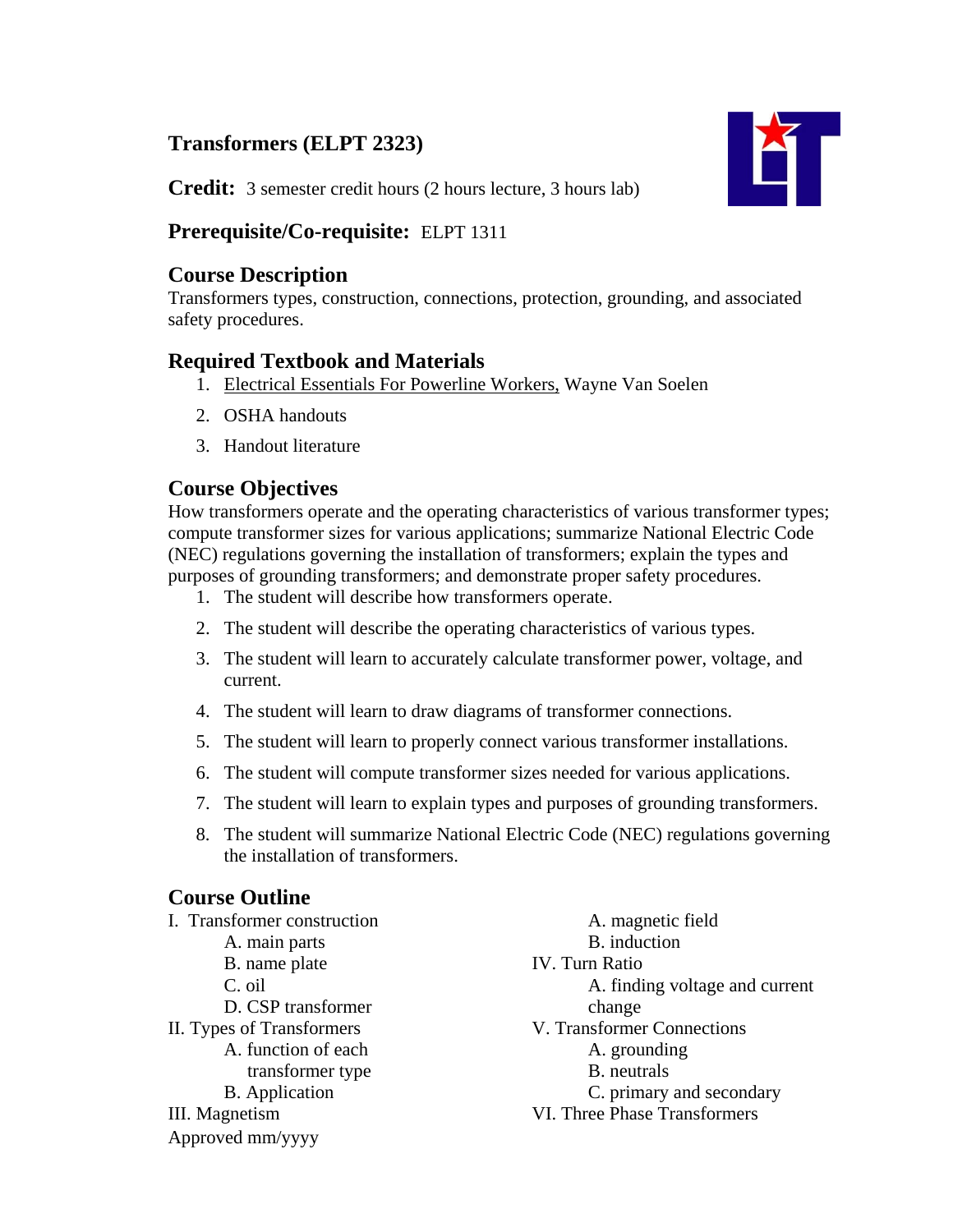# **Transformers (ELPT 2323)**



**Credit:** 3 semester credit hours (2 hours lecture, 3 hours lab)

# **Prerequisite/Co-requisite:** ELPT 1311

# **Course Description**

Transformers types, construction, connections, protection, grounding, and associated safety procedures.

# **Required Textbook and Materials**

- 1. Electrical Essentials For Powerline Workers, Wayne Van Soelen
- 2. OSHA handouts
- 3. Handout literature

# **Course Objectives**

How transformers operate and the operating characteristics of various transformer types; compute transformer sizes for various applications; summarize National Electric Code (NEC) regulations governing the installation of transformers; explain the types and purposes of grounding transformers; and demonstrate proper safety procedures.

- 1. The student will describe how transformers operate.
- 2. The student will describe the operating characteristics of various types.
- 3. The student will learn to accurately calculate transformer power, voltage, and current.
- 4. The student will learn to draw diagrams of transformer connections.
- 5. The student will learn to properly connect various transformer installations.
- 6. The student will compute transformer sizes needed for various applications.
- 7. The student will learn to explain types and purposes of grounding transformers.
- 8. The student will summarize National Electric Code (NEC) regulations governing the installation of transformers.

# **Course Outline**

| I. Transformer construction | A. magnetic field              |
|-----------------------------|--------------------------------|
| A. main parts               | B. induction                   |
| B. name plate               | <b>IV.</b> Turn Ratio          |
| C. oil                      | A. finding voltage and current |
| D. CSP transformer          | change                         |
| II. Types of Transformers   | V. Transformer Connections     |
| A. function of each         | A. grounding                   |
| transformer type            | B. neutrals                    |
| <b>B.</b> Application       | C. primary and secondary       |
| III. Magnetism              | VI. Three Phase Transformers   |
| Approved mm/yyyy            |                                |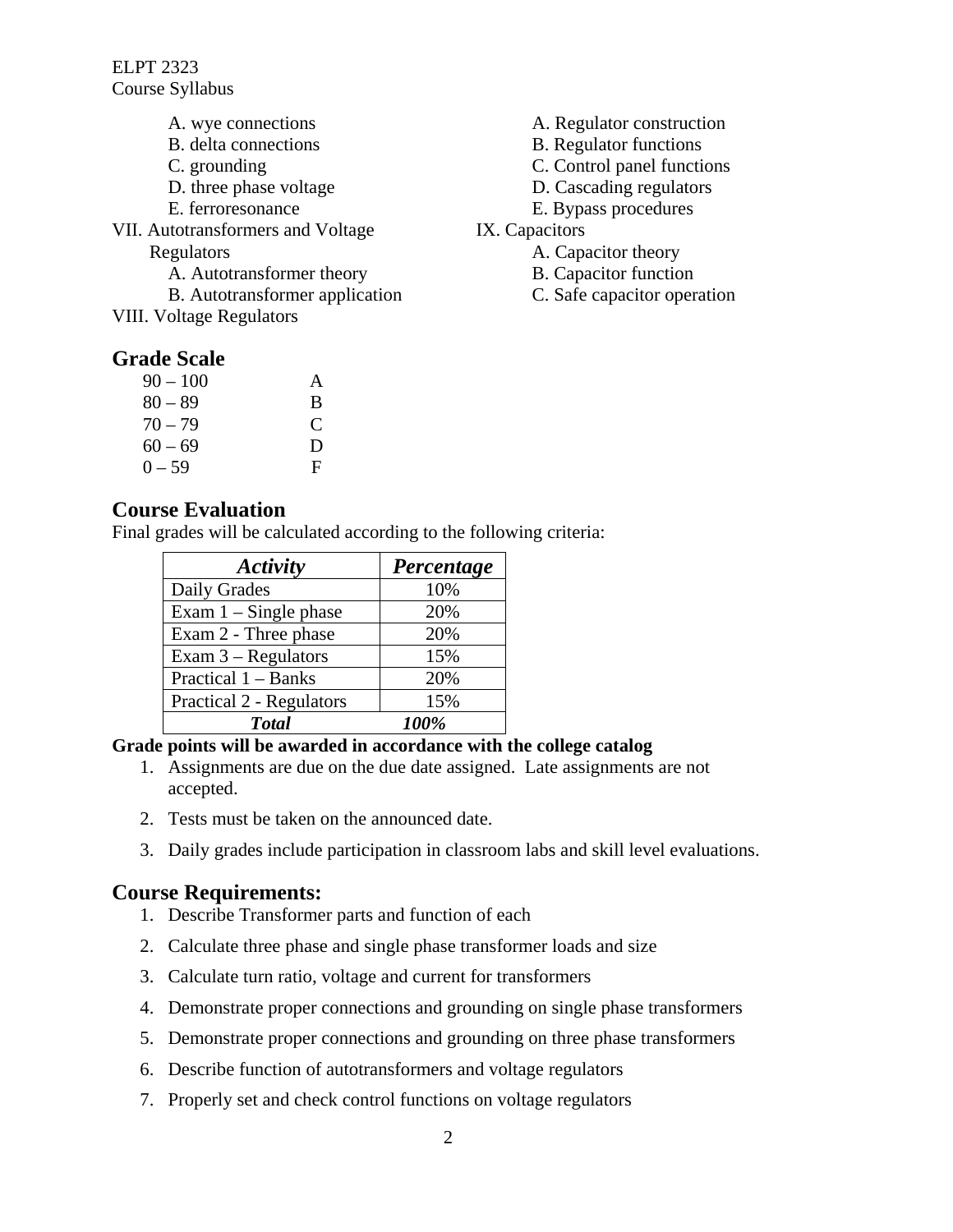ELPT 2323 Course Syllabus

- A. wye connections
- B. delta connections
- C. grounding
- D. three phase voltage
- E. ferroresonance
- VII. Autotransformers and Voltage Regulators
	- A. Autotransformer theory
	- B. Autotransformer application
- VIII. Voltage Regulators

### **Grade Scale**

| $90 - 100$ | A            |
|------------|--------------|
| $80 - 89$  | B            |
| $70 - 79$  | $\mathsf{C}$ |
| $60 - 69$  | D            |
| $0 - 59$   | F            |

- A. Regulator construction
- B. Regulator functions
- C. Control panel functions
- D. Cascading regulators
- E. Bypass procedures
- IX. Capacitors
	- A. Capacitor theory
	- B. Capacitor function
	- C. Safe capacitor operation

### **Course Evaluation**

Final grades will be calculated according to the following criteria:

| Activity                 | Percentage |
|--------------------------|------------|
| Daily Grades             | 10%        |
| Exam $1 -$ Single phase  | 20%        |
| Exam 2 - Three phase     | 20%        |
| Exam $3 -$ Regulators    | 15%        |
| Practical 1 – Banks      | 20%        |
| Practical 2 - Regulators | 15%        |
| <b>T</b> otal            | 100%       |

#### **Grade points will be awarded in accordance with the college catalog**

- 1. Assignments are due on the due date assigned. Late assignments are not accepted.
- 2. Tests must be taken on the announced date.
- 3. Daily grades include participation in classroom labs and skill level evaluations.

### **Course Requirements:**

- 1. Describe Transformer parts and function of each
- 2. Calculate three phase and single phase transformer loads and size
- 3. Calculate turn ratio, voltage and current for transformers
- 4. Demonstrate proper connections and grounding on single phase transformers
- 5. Demonstrate proper connections and grounding on three phase transformers
- 6. Describe function of autotransformers and voltage regulators
- 7. Properly set and check control functions on voltage regulators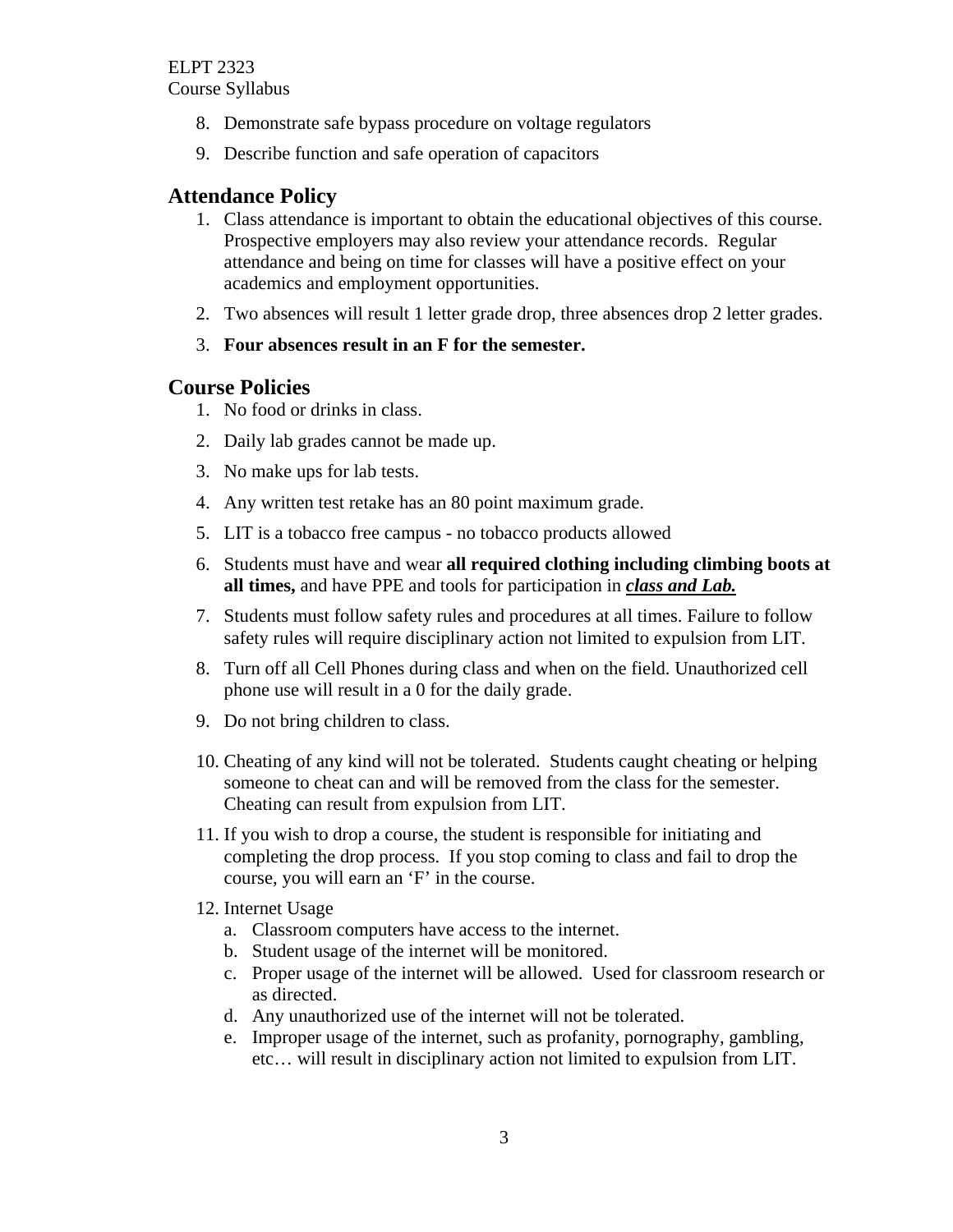- 8. Demonstrate safe bypass procedure on voltage regulators
- 9. Describe function and safe operation of capacitors

# **Attendance Policy**

- 1. Class attendance is important to obtain the educational objectives of this course. Prospective employers may also review your attendance records. Regular attendance and being on time for classes will have a positive effect on your academics and employment opportunities.
- 2. Two absences will result 1 letter grade drop, three absences drop 2 letter grades.
- 3. **Four absences result in an F for the semester.**

### **Course Policies**

- 1. No food or drinks in class.
- 2. Daily lab grades cannot be made up.
- 3. No make ups for lab tests.
- 4. Any written test retake has an 80 point maximum grade.
- 5. LIT is a tobacco free campus no tobacco products allowed
- 6. Students must have and wear **all required clothing including climbing boots at all times,** and have PPE and tools for participation in *class and Lab.*
- 7. Students must follow safety rules and procedures at all times. Failure to follow safety rules will require disciplinary action not limited to expulsion from LIT.
- 8. Turn off all Cell Phones during class and when on the field. Unauthorized cell phone use will result in a 0 for the daily grade.
- 9. Do not bring children to class.
- 10. Cheating of any kind will not be tolerated. Students caught cheating or helping someone to cheat can and will be removed from the class for the semester. Cheating can result from expulsion from LIT.
- 11. If you wish to drop a course, the student is responsible for initiating and completing the drop process. If you stop coming to class and fail to drop the course, you will earn an 'F' in the course.
- 12. Internet Usage
	- a. Classroom computers have access to the internet.
	- b. Student usage of the internet will be monitored.
	- c. Proper usage of the internet will be allowed. Used for classroom research or as directed.
	- d. Any unauthorized use of the internet will not be tolerated.
	- e. Improper usage of the internet, such as profanity, pornography, gambling, etc… will result in disciplinary action not limited to expulsion from LIT.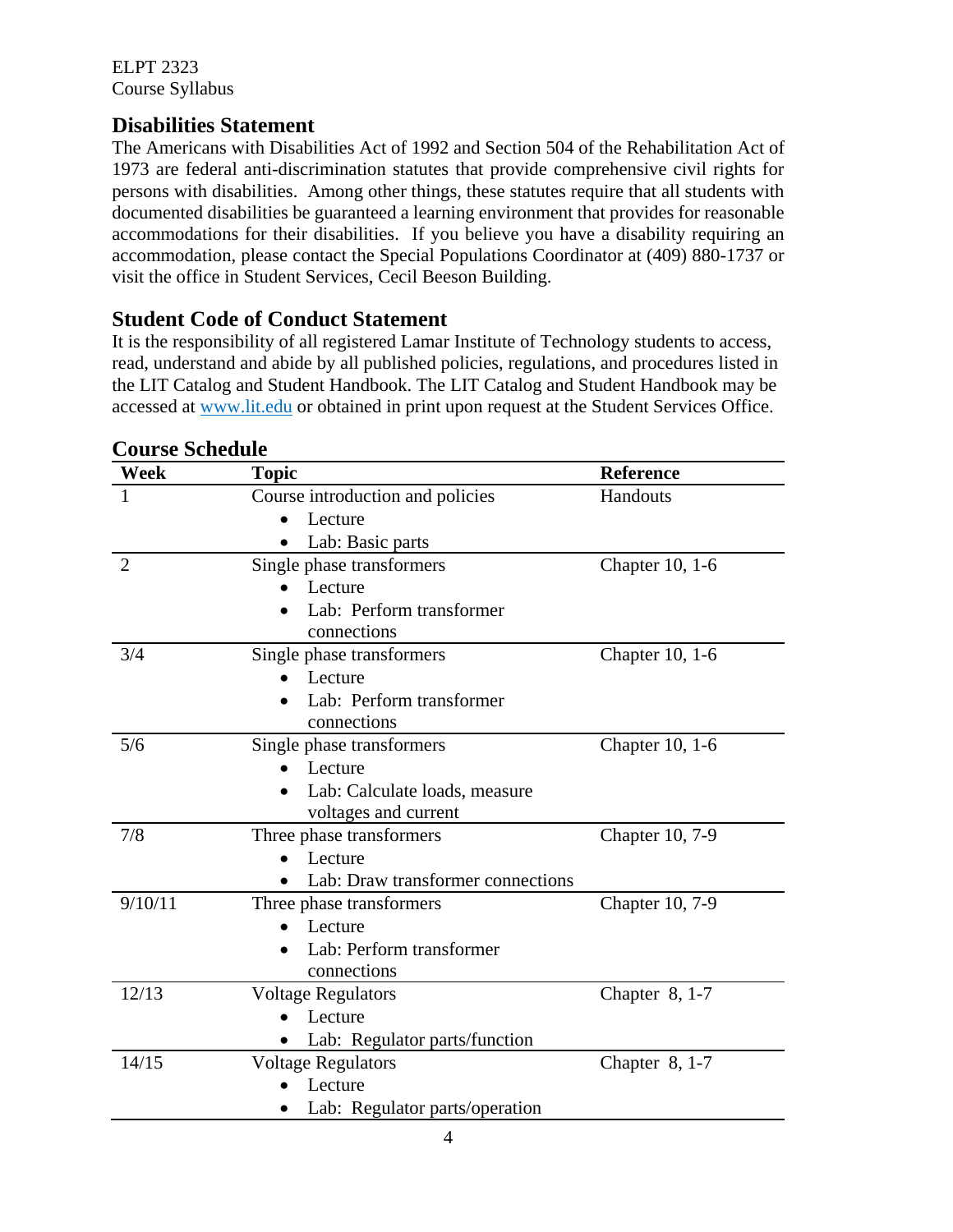ELPT 2323 Course Syllabus

### **Disabilities Statement**

The Americans with Disabilities Act of 1992 and Section 504 of the Rehabilitation Act of 1973 are federal anti-discrimination statutes that provide comprehensive civil rights for persons with disabilities. Among other things, these statutes require that all students with documented disabilities be guaranteed a learning environment that provides for reasonable accommodations for their disabilities. If you believe you have a disability requiring an accommodation, please contact the Special Populations Coordinator at (409) 880-1737 or visit the office in Student Services, Cecil Beeson Building.

### **Student Code of Conduct Statement**

It is the responsibility of all registered Lamar Institute of Technology students to access, read, understand and abide by all published policies, regulations, and procedures listed in the LIT Catalog and Student Handbook. The LIT Catalog and Student Handbook may be accessed at www.lit.edu or obtained in print upon request at the Student Services Office.

| Week           | <b>Topic</b>                                   | <b>Reference</b> |
|----------------|------------------------------------------------|------------------|
|                | Course introduction and policies               | Handouts         |
|                | Lecture                                        |                  |
|                | Lab: Basic parts                               |                  |
| $\overline{2}$ | Single phase transformers                      | Chapter 10, 1-6  |
|                | Lecture                                        |                  |
|                | Lab: Perform transformer                       |                  |
|                | connections                                    |                  |
| 3/4            | Single phase transformers                      | Chapter 10, 1-6  |
|                | Lecture                                        |                  |
|                | Lab: Perform transformer                       |                  |
|                | connections                                    |                  |
| 5/6            | Single phase transformers                      | Chapter 10, 1-6  |
|                | Lecture                                        |                  |
|                | Lab: Calculate loads, measure                  |                  |
|                | voltages and current                           |                  |
| 7/8            | Three phase transformers                       | Chapter 10, 7-9  |
|                | Lecture                                        |                  |
|                | Lab: Draw transformer connections<br>$\bullet$ |                  |
| 9/10/11        | Three phase transformers                       | Chapter 10, 7-9  |
|                | Lecture                                        |                  |
|                | Lab: Perform transformer                       |                  |
|                | connections                                    |                  |
| 12/13          | <b>Voltage Regulators</b>                      | Chapter $8, 1-7$ |
|                | Lecture                                        |                  |
|                | Lab: Regulator parts/function                  |                  |
| 14/15          | <b>Voltage Regulators</b>                      | Chapter 8, 1-7   |
|                | Lecture                                        |                  |
|                | Lab: Regulator parts/operation                 |                  |

### **Course Schedule**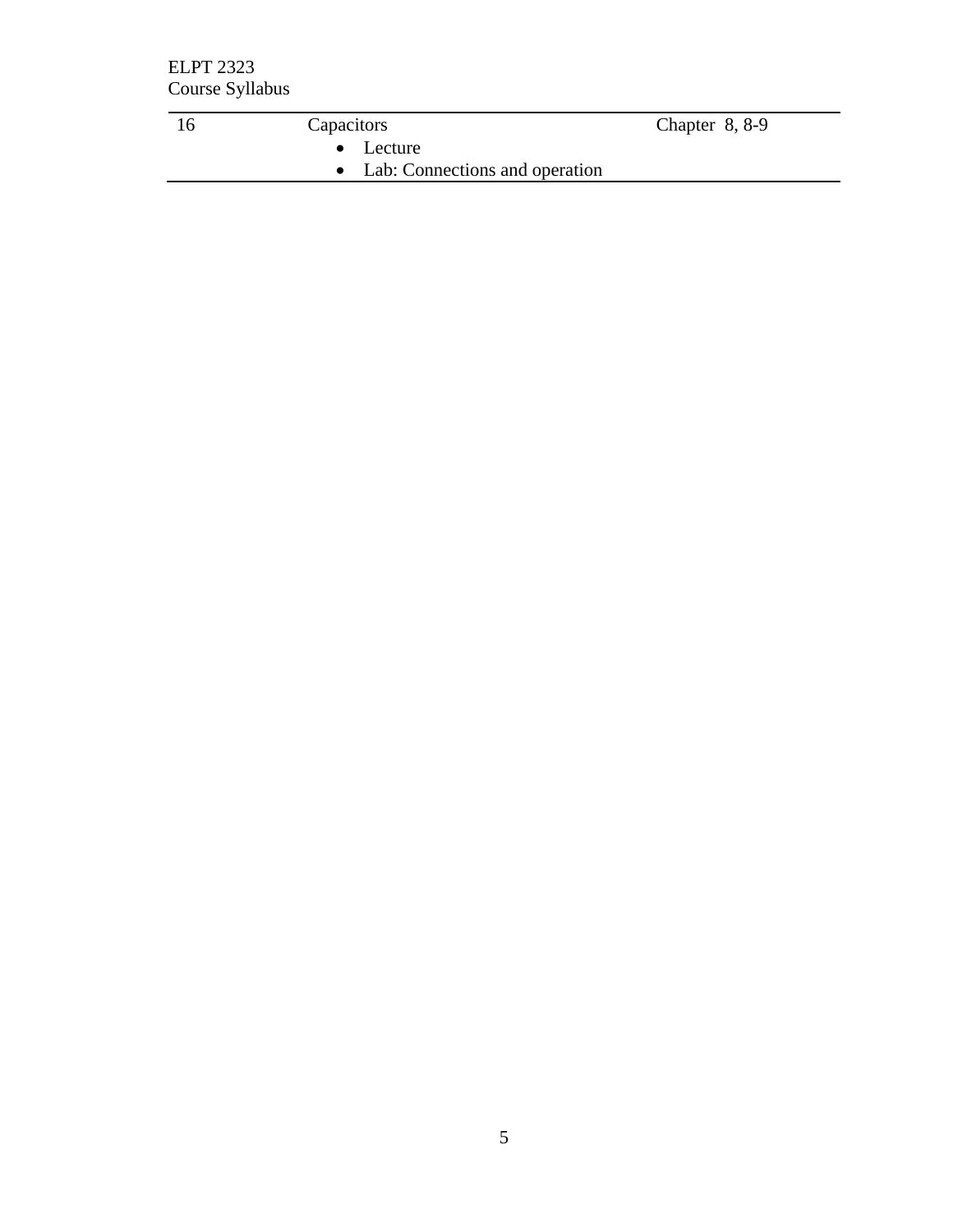| $\mathsf{\Omega}$ | Capacitors                       | Chapter $8, 8-9$ |
|-------------------|----------------------------------|------------------|
|                   | $\bullet$ Lecture                |                  |
|                   | • Lab: Connections and operation |                  |